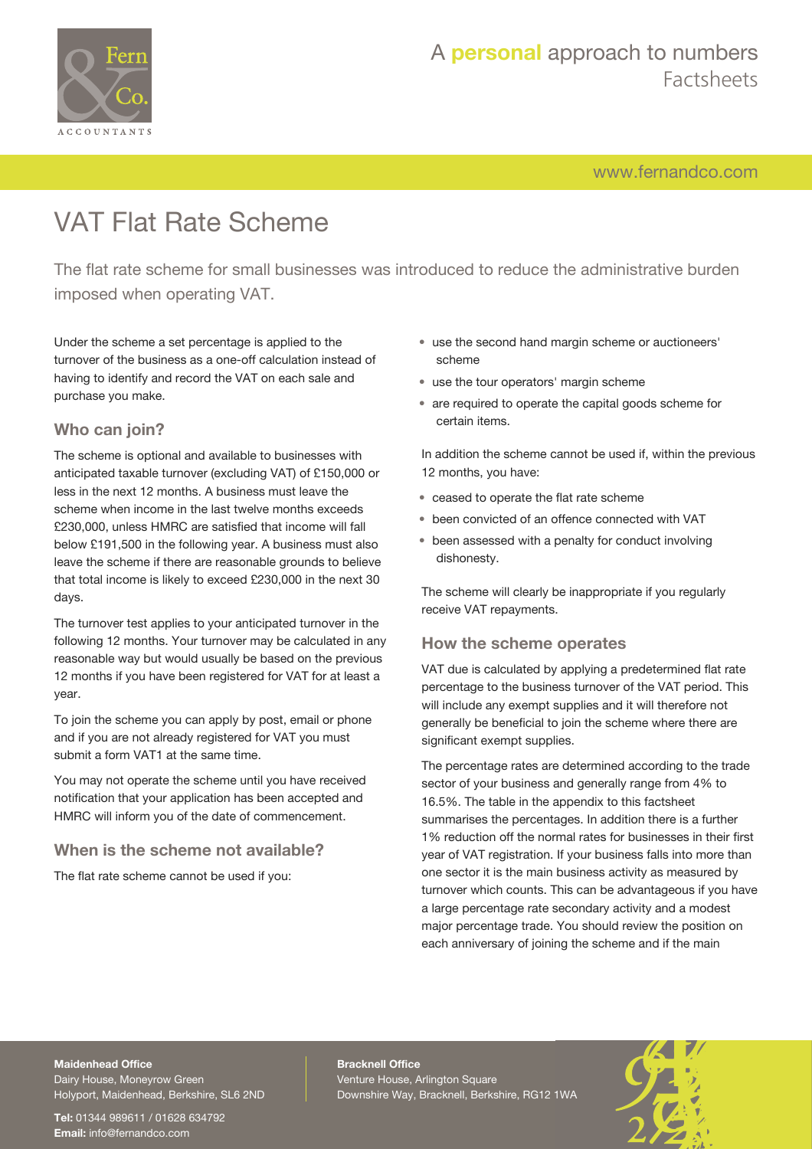

[www.fernandco.com](http://www.fernandco.com)

# VAT Flat Rate Scheme

The flat rate scheme for small businesses was introduced to reduce the administrative burden imposed when operating VAT.

Under the scheme a set percentage is applied to the turnover of the business as a one-off calculation instead of having to identify and record the VAT on each sale and purchase you make.

### **Who can join?**

The scheme is optional and available to businesses with anticipated taxable turnover (excluding VAT) of £150,000 or less in the next 12 months. A business must leave the scheme when income in the last twelve months exceeds £230,000, unless HMRC are satisfied that income will fall below £191,500 in the following year. A business must also leave the scheme if there are reasonable grounds to believe that total income is likely to exceed £230,000 in the next 30 days.

The turnover test applies to your anticipated turnover in the following 12 months. Your turnover may be calculated in any reasonable way but would usually be based on the previous 12 months if you have been registered for VAT for at least a year.

To join the scheme you can apply by post, email or phone and if you are not already registered for VAT you must submit a form VAT1 at the same time.

You may not operate the scheme until you have received notification that your application has been accepted and HMRC will inform you of the date of commencement.

### **When is the scheme not available?**

The flat rate scheme cannot be used if you:

- use the second hand margin scheme or auctioneers' scheme
- use the tour operators' margin scheme
- are required to operate the capital goods scheme for certain items.

In addition the scheme cannot be used if, within the previous 12 months, you have:

- ceased to operate the flat rate scheme
- been convicted of an offence connected with VAT
- been assessed with a penalty for conduct involving dishonesty.

The scheme will clearly be inappropriate if you regularly receive VAT repayments.

### **How the scheme operates**

VAT due is calculated by applying a predetermined flat rate percentage to the business turnover of the VAT period. This will include any exempt supplies and it will therefore not generally be beneficial to join the scheme where there are significant exempt supplies.

The percentage rates are determined according to the trade sector of your business and generally range from 4% to 16.5%. The table in the appendix to this factsheet summarises the percentages. In addition there is a further 1% reduction off the normal rates for businesses in their first year of VAT registration. If your business falls into more than one sector it is the main business activity as measured by turnover which counts. This can be advantageous if you have a large percentage rate secondary activity and a modest major percentage trade. You should review the position on each anniversary of joining the scheme and if the main

### **Maidenhead Office**

Dairy House, Moneyrow Green Holyport, Maidenhead, Berkshire, SL6 2ND

**Tel:** 01344 989611 / 01628 634792 **Email:** [info@fernandco.com](mailto:info@fernandco.com)

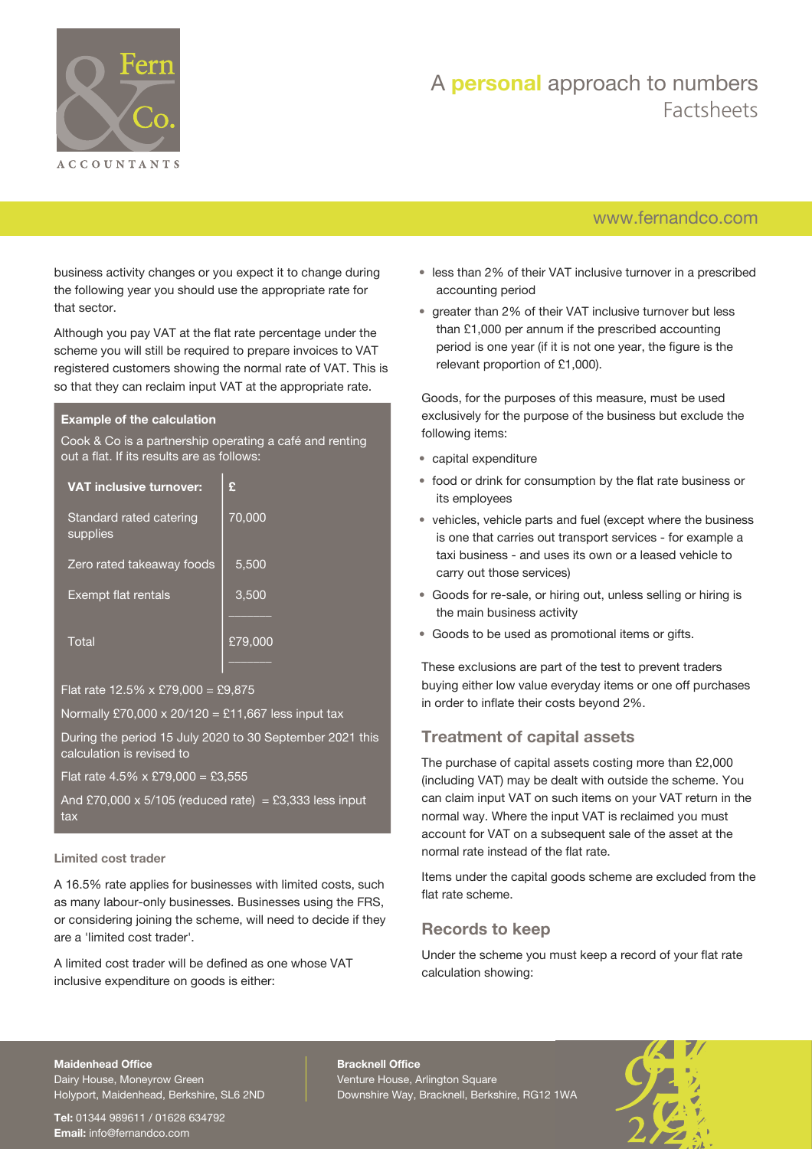

### [www.fernandco.com](http://www.fernandco.com)

business activity changes or you expect it to change during the following year you should use the appropriate rate for that sector.

Although you pay VAT at the flat rate percentage under the scheme you will still be required to prepare invoices to VAT registered customers showing the normal rate of VAT. This is so that they can reclaim input VAT at the appropriate rate.

#### **Example of the calculation**

Cook & Co is a partnership operating a café and renting out a flat. If its results are as follows:

| <b>VAT inclusive turnover:</b>      | £       |
|-------------------------------------|---------|
| Standard rated catering<br>supplies | 70,000  |
| Zero rated takeaway foods           | 5,500   |
| Exempt flat rentals                 | 3,500   |
|                                     |         |
| Total                               | £79,000 |

Flat rate  $12.5\% \times £79,000 = £9,875$ 

Normally £70,000 x 20/120 = £11,667 less input tax

During the period 15 July 2020 to 30 September 2021 this calculation is revised to

Flat rate  $4.5\% \times £79,000 = £3,555$ 

And £70,000 x 5/105 (reduced rate) = £3,333 less input tax

#### **Limited cost trader**

A 16.5% rate applies for businesses with limited costs, such as many labour-only businesses. Businesses using the FRS, or considering joining the scheme, will need to decide if they are a 'limited cost trader'.

A limited cost trader will be defined as one whose VAT inclusive expenditure on goods is either:

- less than 2% of their VAT inclusive turnover in a prescribed accounting period
- greater than 2% of their VAT inclusive turnover but less than £1,000 per annum if the prescribed accounting period is one year (if it is not one year, the figure is the relevant proportion of £1,000).

Goods, for the purposes of this measure, must be used exclusively for the purpose of the business but exclude the following items:

- capital expenditure
- food or drink for consumption by the flat rate business or its employees
- vehicles, vehicle parts and fuel (except where the business is one that carries out transport services - for example a taxi business - and uses its own or a leased vehicle to carry out those services)
- Goods for re-sale, or hiring out, unless selling or hiring is the main business activity
- Goods to be used as promotional items or gifts.

These exclusions are part of the test to prevent traders buying either low value everyday items or one off purchases in order to inflate their costs beyond 2%.

### **Treatment of capital assets**

The purchase of capital assets costing more than £2,000 (including VAT) may be dealt with outside the scheme. You can claim input VAT on such items on your VAT return in the normal way. Where the input VAT is reclaimed you must account for VAT on a subsequent sale of the asset at the normal rate instead of the flat rate.

Items under the capital goods scheme are excluded from the flat rate scheme.

### **Records to keep**

Under the scheme you must keep a record of your flat rate calculation showing:

#### **Maidenhead Office**

Dairy House, Moneyrow Green Holyport, Maidenhead, Berkshire, SL6 2ND

**Tel:** 01344 989611 / 01628 634792 **Email:** [info@fernandco.com](mailto:info@fernandco.com)

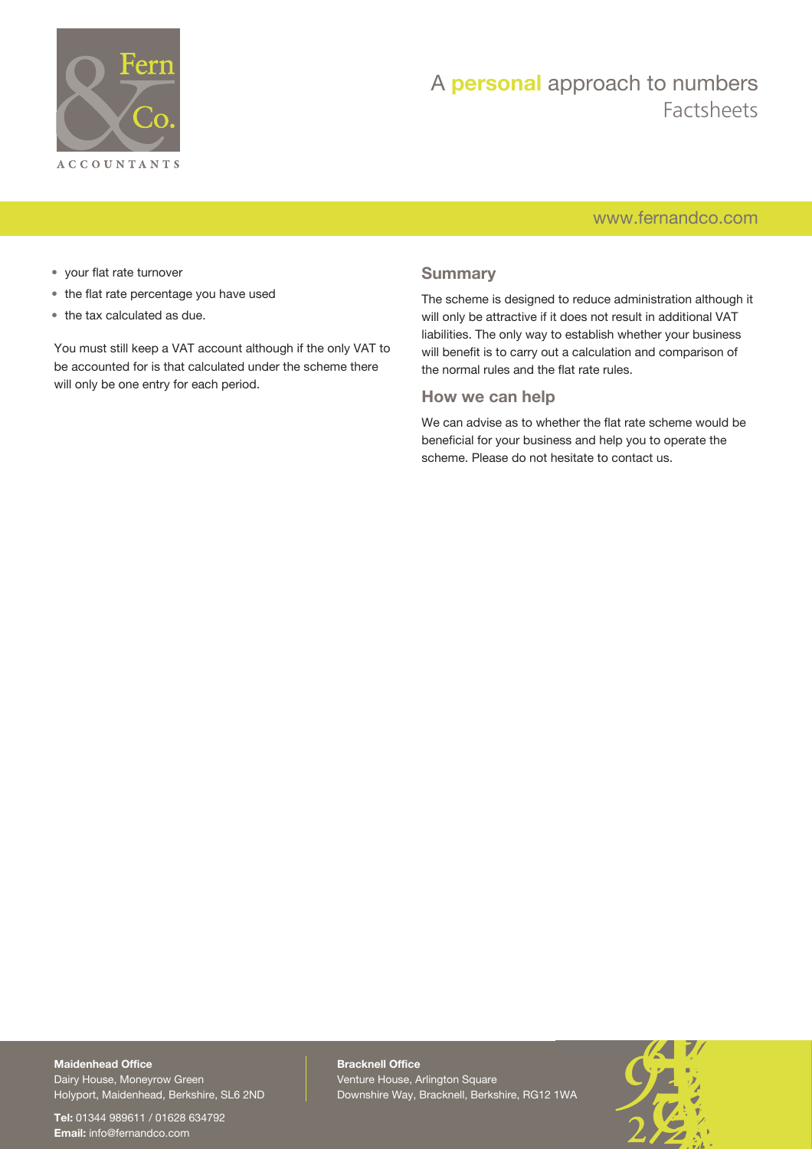

### [www.fernandco.com](http://www.fernandco.com)

- your flat rate turnover
- the flat rate percentage you have used
- the tax calculated as due.

You must still keep a VAT account although if the only VAT to be accounted for is that calculated under the scheme there will only be one entry for each period.

### **Summary**

The scheme is designed to reduce administration although it will only be attractive if it does not result in additional VAT liabilities. The only way to establish whether your business will benefit is to carry out a calculation and comparison of the normal rules and the flat rate rules.

### **How we can help**

We can advise as to whether the flat rate scheme would be beneficial for your business and help you to operate the scheme. Please do not hesitate to contact us.

**Maidenhead Office** Dairy House, Moneyrow Green Holyport, Maidenhead, Berkshire, SL6 2ND

**Tel:** 01344 989611 / 01628 634792 **Email:** [info@fernandco.com](mailto:info@fernandco.com)

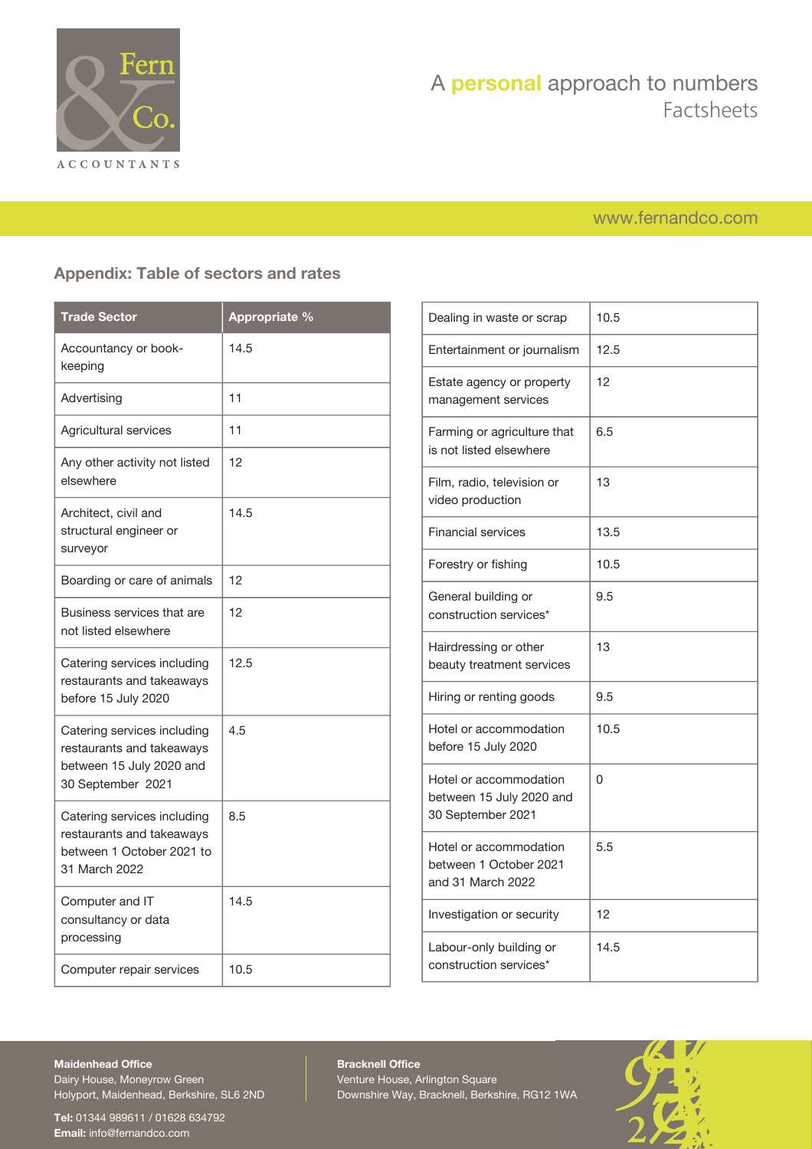

### [www.fernandco.com](http://www.fernandco.com)

### **Appendix: Table of sectors and rates**

| <b>Trade Sector</b>                                                                                       | Appropriate % |
|-----------------------------------------------------------------------------------------------------------|---------------|
| Accountancy or book-<br>keeping                                                                           | 14.5          |
| Advertising                                                                                               | 11            |
| Agricultural services                                                                                     | 11            |
| Any other activity not listed<br>elsewhere                                                                | 12            |
| Architect, civil and<br>structural engineer or<br>surveyor                                                | 14.5          |
| Boarding or care of animals                                                                               | 12            |
| Business services that are<br>not listed elsewhere                                                        | 12            |
| Catering services including<br>restaurants and takeaways<br>before 15 July 2020                           | 12.5          |
| Catering services including<br>restaurants and takeaways<br>between 15 July 2020 and<br>30 September 2021 | 4.5           |
| Catering services including<br>restaurants and takeaways<br>between 1 October 2021 to<br>31 March 2022    | 8.5           |
| Computer and IT<br>consultancy or data<br>processing                                                      | 14.5          |
| Computer repair services                                                                                  | 10.5          |

| Dealing in waste or scrap                                               | 10.5 |
|-------------------------------------------------------------------------|------|
| Entertainment or journalism                                             | 12.5 |
| Estate agency or property<br>management services                        | 12   |
| Farming or agriculture that<br>is not listed elsewhere                  | 6.5  |
| Film, radio, television or<br>video production                          | 13   |
| <b>Financial services</b>                                               | 13.5 |
| Forestry or fishing                                                     | 10.5 |
| General building or<br>construction services*                           | 9.5  |
| Hairdressing or other<br>beauty treatment services                      | 13   |
| Hiring or renting goods                                                 | 9.5  |
| Hotel or accommodation<br>before 15 July 2020                           | 10.5 |
| Hotel or accommodation<br>between 15 July 2020 and<br>30 September 2021 | 0    |
| Hotel or accommodation<br>between 1 October 2021<br>and 31 March 2022   | 5.5  |
| Investigation or security                                               | 12   |
| Labour-only building or<br>construction services*                       | 14.5 |

#### **Maidenhead Office**

Dairy House, Moneyrow Green Holyport, Maidenhead, Berkshire, SL6 2ND

**Tel:** 01344 989611 / 01628 634792 **Email:** [info@fernandco.com](mailto:info@fernandco.com)

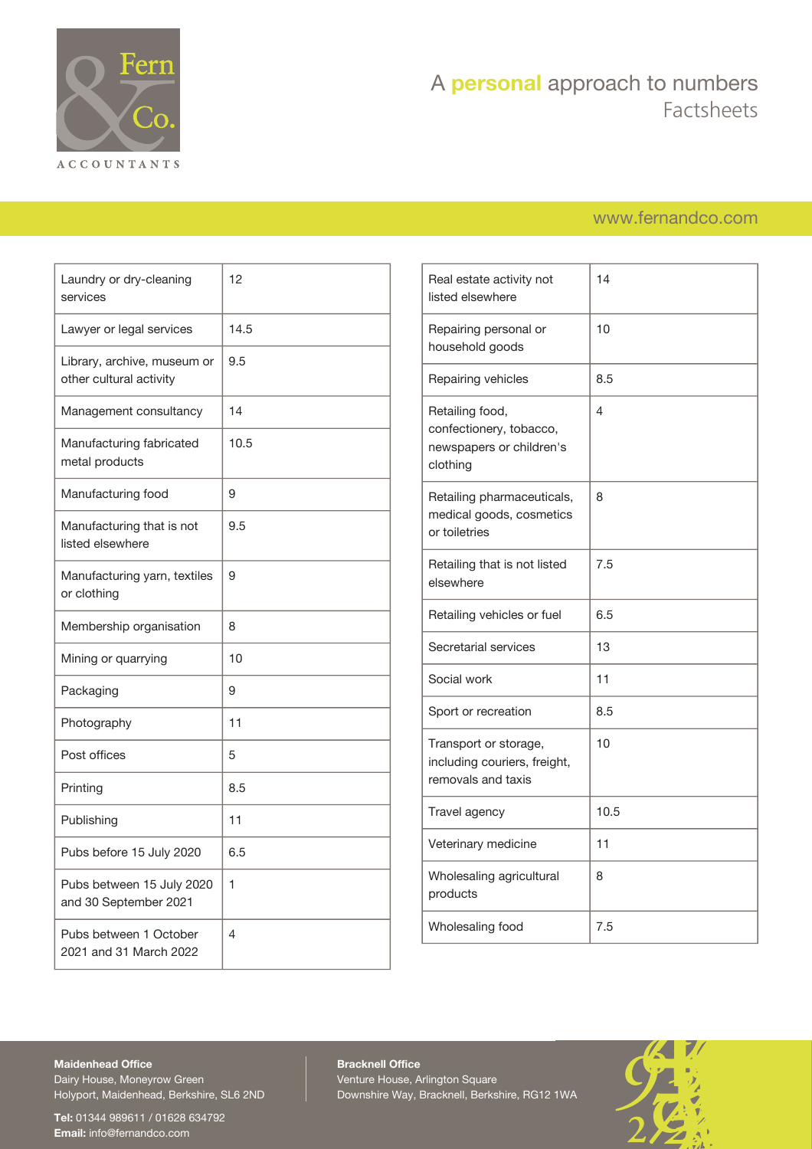

### [www.fernandco.com](http://www.fernandco.com)

| Laundry or dry-cleaning<br>services                    | 12   |
|--------------------------------------------------------|------|
| Lawyer or legal services                               | 14.5 |
| Library, archive, museum or<br>other cultural activity | 9.5  |
| Management consultancy                                 | 14   |
| Manufacturing fabricated<br>metal products             | 10.5 |
| Manufacturing food                                     | 9    |
| Manufacturing that is not<br>listed elsewhere          | 9.5  |
| Manufacturing yarn, textiles<br>or clothing            | 9    |
| Membership organisation                                | 8    |
| Mining or quarrying                                    | 10   |
| Packaging                                              | 9    |
| Photography                                            | 11   |
| Post offices                                           | 5    |
| Printing                                               | 8.5  |
| Publishing                                             | 11   |
| Pubs before 15 July 2020                               | 6.5  |
| Pubs between 15 July 2020<br>and 30 September 2021     | 1    |
| Pubs between 1 October<br>2021 and 31 March 2022       | 4    |

| Real estate activity not<br>listed elsewhere                                       | 14   |
|------------------------------------------------------------------------------------|------|
| Repairing personal or<br>household goods                                           | 10   |
| Repairing vehicles                                                                 | 8.5  |
| Retailing food,<br>confectionery, tobacco,<br>newspapers or children's<br>clothing | 4    |
| Retailing pharmaceuticals,<br>medical goods, cosmetics<br>or toiletries            | 8    |
| Retailing that is not listed<br>elsewhere                                          | 7.5  |
| Retailing vehicles or fuel                                                         | 6.5  |
| Secretarial services                                                               | 13   |
| Social work                                                                        | 11   |
| Sport or recreation                                                                | 8.5  |
| Transport or storage,<br>including couriers, freight,<br>removals and taxis        | 10   |
| Travel agency                                                                      | 10.5 |
| Veterinary medicine                                                                | 11   |
| Wholesaling agricultural<br>products                                               | 8    |
| Wholesaling food                                                                   | 7.5  |
|                                                                                    |      |

### **Maidenhead Office**

Dairy House, Moneyrow Green Holyport, Maidenhead, Berkshire, SL6 2ND

**Tel:** 01344 989611 / 01628 634792 **Email:** [info@fernandco.com](mailto:info@fernandco.com)